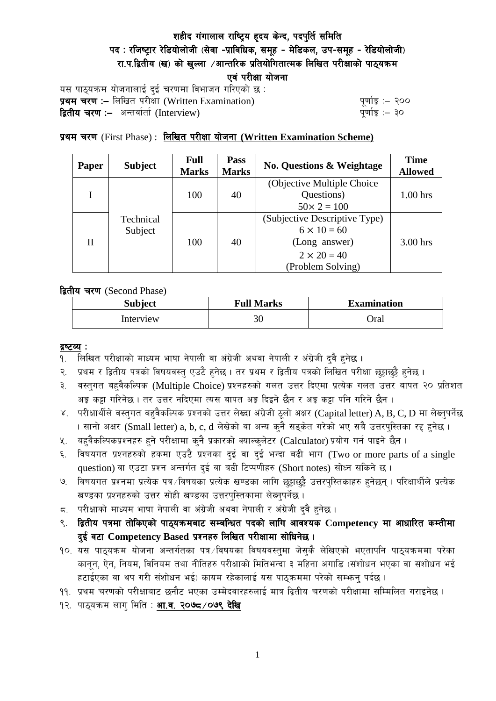# शहीद गंगालाल राष्ट्रिय हृदय केन्द, पदपुर्ति समिति पद: रजिष्ट्रार रेडियोलोजी (सेवा -प्राविधिक, समुह - मेडिकल, उप-समुह - रेडियोलोजी) रा.प.द्वितीय (ख) को खल्ला ⁄आन्तरिक प्रतियोगितात्मक लिखित परीक्षाको पाठ्यक्रम एवं परीक्षा योजना

यस पाठ्यक्रम योजनालाई दुई चरणमा विभाजन गरिएको छ : k|yd r/0f M— lnlvt k/LIff (Written Examination) k"0ff{Í M— @)) **द्वितीय चरण :-** अन्तर्वार्ता (Interview)

## प्रथम चरण (First Phase) : लिखित परीक्षा योजना (Written Examination Scheme)

| <b>Paper</b> | <b>Subject</b>       | <b>Full</b><br><b>Marks</b> | <b>Pass</b><br><b>Marks</b> | <b>No. Questions &amp; Weightage</b>                                                                            | <b>Time</b><br><b>Allowed</b> |
|--------------|----------------------|-----------------------------|-----------------------------|-----------------------------------------------------------------------------------------------------------------|-------------------------------|
|              | 100                  |                             | 40                          | (Objective Multiple Choice)<br>Questions)<br>$50 \times 2 = 100$                                                | $1.00$ hrs                    |
| Н            | Technical<br>Subject | 100                         | 40                          | (Subjective Descriptive Type)<br>$6 \times 10 = 60$<br>(Long answer)<br>$2 \times 20 = 40$<br>(Problem Solving) | 3.00 hrs                      |

द्वितीय चरण (Second Phase)

| <b>Subject</b> | <b>Full Marks</b> | <b>Examination</b> |  |
|----------------|-------------------|--------------------|--|
| Interview      | 30                | )ral               |  |

#### द्रष्टव्य :

- १. लिखित परीक्षाको माध्यम भाषा नेपाली वा अंग्रेजी अथवा नेपाली र अंग्रेजी दुवै हुनेछ ।
- २. प्रथम र द्वितीय पत्रको विषयवस्त् एउटै हुनेछ । तर प्रथम र द्वितीय पत्रको लिखित परीक्षा छुट्टाछुट्टै हुनेछ ।
- ३. वस्तुगत बहुवैकल्पिक (Multiple Choice) प्रश्नहरुको गलत उत्तर दिएमा प्रत्येक गलत उत्तर बापत २० प्रतिशत अङ्ग कट्टा गरिनेछ । तर उत्तर नदिएमा त्यस बापत अङ्ग दिइने छैन र अङ्ग कट्टा पनि गरिने छैन ।
- ४. परीक्षार्थीले वस्तुगत बहुवैकल्पिक प्रश्नको उत्तर लेख्दा अंग्रेजी ठूलो अक्षर (Capital letter) A, B, C, D मा लेख्नुपर्नेछ । सानो अक्षर (Small letter) a, b, c, d लेखेको वा अन्य कुनै सङ्केत गरेको भए सबै उत्तरपुस्तिका रद्द हुनेछ ।
- ५. बहुवैकल्पिकप्रश्नहरु हुने परीक्षामा कुनै प्रकारको क्याल्कुलेटर (Calculator) प्रयोग गर्न पाइने छैन ।
- ६. विषयगत प्रश्नहरुको हकमा एउटै प्रश्नका दुई वा दुई भन्दा बढी भाग (Two or more parts of a single question) वा एउटा प्रश्न अन्तर्गत दुई वा बढी टिप्पणीहरु (Short notes) सोध्न सकिने छ।
- ७. विषयगत प्रश्नमा प्रत्येक पत्र ∕विषयका प्रत्येक खण्डका लागि छट्टाछट्टै उत्तरपुस्तिकाहरु हुनेछन् । परिक्षार्थीले प्रत्येक खण्डका प्रश्नहरुको उत्तर सोही खण्डका उत्तरपुस्तिकामा लेख्नुपर्नेछ ।
- $\,$ द. परीक्षाको माध्यम भाषा नेपाली वा अंग्रेजी अथवा नेपाली र अंग्रेजी द्वै हुनेछ ।
- ९. द्वितीय पत्रमा तोकिएको पाठ्यक्रमबाट सम्बन्धित पदको लागि आवश्यक Competency मा आधारित कम्तीमा दुई वटा Competency Based प्रश्नहरु लिखित परीक्षामा सोधिनेछ।
- १०. यस पाठ्यक्रम योजना अन्तर्गतका पत्र विषयका विषयवस्तुमा जेसुकै लेखिएको भएतापनि पाठ्यक्रममा परेका कानून, ऐन, नियम, विनियम तथा नीतिहरु परीक्षाको मितिभन्दा ३ महिना अगाडि (संशोधन भएका वा संशोधन भई हटाईएका वा थप गरी संशोधन भई) कायम रहेकालाई यस पाठ्कममा परेको सम्भन्नु पर्दछ ।
- ११. प्रथम चरणको परीक्षाबाट छनौट भएका उम्मेदवारहरुलाई मात्र द्वितीय चरणको परीक्षामा सम्मिलित गराइनेछ ।
- १२. पाठ्यक्रम लागु मिति : आ.व. २०७८/०७९ देखि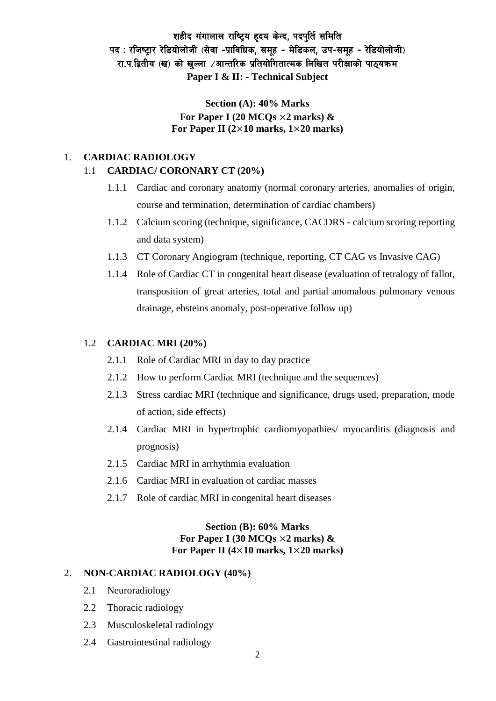# शहीद गंगालाल राष्ट्रिय हृदय केन्द, पदपुर्ति समिति पद: रजिष्ट्रार रेडियोलोजी (सेवा -प्राविधिक, समुह - मेडिकल, उप-समुह - रेडियोलोजी) रा.प.द्वितीय (ख) को खल्ला ⁄आन्तरिक प्रतियोगितात्मक लिखित परीक्षाको पाठयक्रम **Paper I & II: - Technical Subject**

## **Section (A): 40% Marks For Paper I (20 MCQs** ×**2 marks) & For Paper II (2**×**10 marks, 1**×**20 marks)**

### 1. **CARDIAC RADIOLOGY**

### 1.1 **CARDIAC/ CORONARY CT (20%)**

- 1.1.1 Cardiac and coronary anatomy (normal coronary arteries, anomalies of origin, course and termination, determination of cardiac chambers)
- 1.1.2 Calcium scoring (technique, significance, CACDRS calcium scoring reporting and data system)
- 1.1.3 CT Coronary Angiogram (technique, reporting, CT CAG vs Invasive CAG)
- 1.1.4 Role of Cardiac CT in congenital heart disease (evaluation of tetralogy of fallot, transposition of great arteries, total and partial anomalous pulmonary venous drainage, ebsteins anomaly, post-operative follow up)

#### 1.2 **CARDIAC MRI (20%)**

- 2.1.1 Role of Cardiac MRI in day to day practice
- 2.1.2 How to perform Cardiac MRI (technique and the sequences)
- 2.1.3 Stress cardiac MRI (technique and significance, drugs used, preparation, mode of action, side effects)
- 2.1.4 Cardiac MRI in hypertrophic cardiomyopathies/ myocarditis (diagnosis and prognosis)
- 2.1.5 Cardiac MRI in arrhythmia evaluation
- 2.1.6 Cardiac MRI in evaluation of cardiac masses
- 2.1.7 Role of cardiac MRI in congenital heart diseases

### **Section (B): 60% Marks For Paper I (30 MCQs** ×**2 marks) & For Paper II (4**×**10 marks, 1**×**20 marks)**

#### 2. **NON-CARDIAC RADIOLOGY (40%)**

- 2.1 Neuroradiology
- 2.2 Thoracic radiology
- 2.3 Musculoskeletal radiology
- 2.4 Gastrointestinal radiology